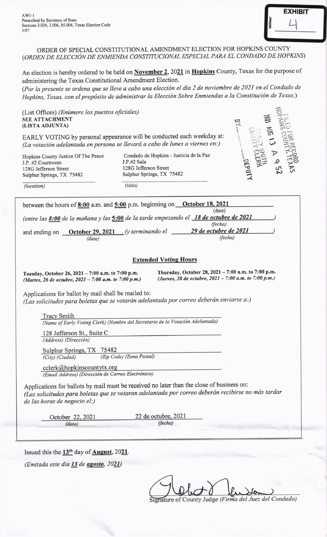$AW1-1$ Prescribed by Secretary of State Sections 3.004, 3.006, 85.004, Texas Election Code 3/07



ORDER OF SPECIAL CONSTITUTIONAL AMENDMENT ELECTION FOR HOPKINS COUNTY (ORDEN DE ELECCIÓN DE ENMIENDA CONSTITUCIONAL ESPECIAL PARA EL CONDADO DE HOPKINS)

An election is hereby ordered to be held on November 2, 2021 in Hopkins County, Texas for the purpose of administering the Texas Constitutional Amendment Election.

(Por la presente se ordena que se lleve a cabo una elección el día 2 de noviembre de 2021 en el Condado de Hopkins, Texas, con el propósito de administrar la Elección Sobre Enmiendas a la Constitución de Texas.)

(List Offices) (Enimere los puestos oficiales) SEE ATTACHMENT (LISTA ADJUNTA)

EARLY VOTING by personal appearance will be conducted each weekday at: (La votación adelantada en persona se llevará a cabo de lunes a viernes en:)

Hopkins County Justice Of The Peace J.P. #2 Courtroom 128G Jefferson Street Sutphur Springs, TX 75482

(location)

Condado de Hopkins - Justicia de la Paz J.P.#2 Sala 128G Jefferson Street Sulphur Springs, TX 75482 (sitio)



| between the hours of 8:00 a.m. and 5:00 p.m. beginning on October 18, 2021<br>(date)                                                                                                                                            |
|---------------------------------------------------------------------------------------------------------------------------------------------------------------------------------------------------------------------------------|
| (entre las 8:00 de la mañana y las 5:00 de la tarde empezando el 18 de octubre de 2021<br>(fecha)                                                                                                                               |
| 29 de octubre de 2021<br>and ending on <b>October 29, 2021</b> . (y terminando el<br>(fecha)<br>(date)                                                                                                                          |
| <b>Extended Voting Hours</b>                                                                                                                                                                                                    |
| Thursday, October 28, 2021 - 7:00 a.m. to 7:00 p.m.<br>Tuesday, October 26, 2021 - 7:00 a.m. to 7:00 p.m.<br>(Jueves, 28 de octubre, 2021 - 7:00 a.m. to 7:00 p.m.)<br>(Martes, 26 de octubre, 2021 - 7:00 a.m. to 7:00 p.m.)   |
| Applications for ballot by mail shall be mailed to:<br>(Las solicitudes para boletas que se votarán adelantada por correo deberán enviarse a:)                                                                                  |
| <b>Tracy Smith</b>                                                                                                                                                                                                              |
| (Name of Early Voting Clerk) (Nombre del Secretario de la Votación Adelantada)                                                                                                                                                  |
| 128 Jefferson St., Suite C                                                                                                                                                                                                      |
| (Address) (Dirección)                                                                                                                                                                                                           |
| Sulphur Springs, TX 75482                                                                                                                                                                                                       |
| (Zip Code) (Zona Postal)<br>(City) (Ciudad)                                                                                                                                                                                     |
| cclerk@hopkinscountytx.org<br>(Email Address) (Dirección de Correo Electrónico)                                                                                                                                                 |
| Applications for ballots by mail must be received no later than the close of business on:<br>(Las solicitudes para boletas que se votaran adelantada por correo deberán recibirse no más tardar<br>de las horas de negocio el:) |
| 22 de octubre, 2021<br>October 22, 2021                                                                                                                                                                                         |

(date) (fecha)

Issued this the  $13<sup>th</sup>$  day of **August**, 2021.

(Emitada este dia 13 de agosto, 2021)

Ignature of County Judge (Firma del Juez del Condado)